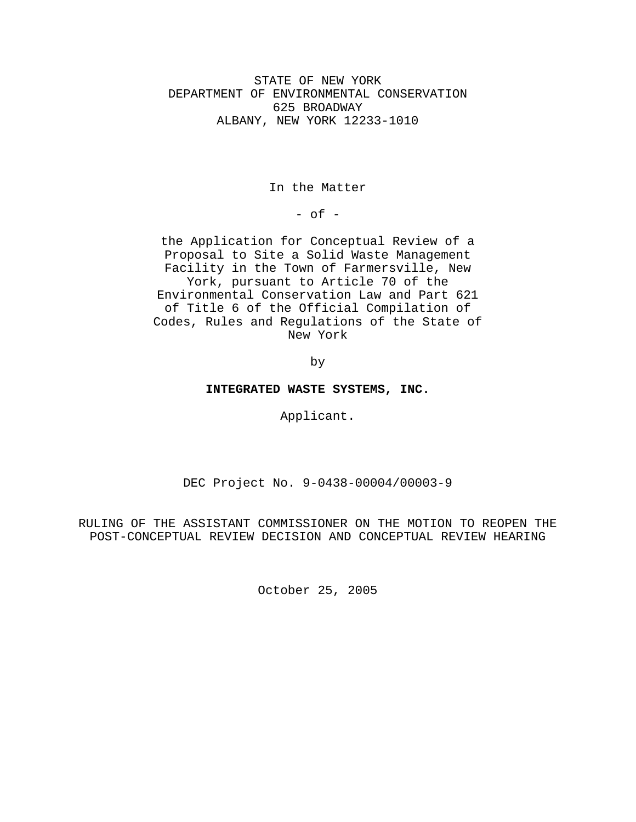STATE OF NEW YORK DEPARTMENT OF ENVIRONMENTAL CONSERVATION 625 BROADWAY ALBANY, NEW YORK 12233-1010

In the Matter

- of -

the Application for Conceptual Review of a Proposal to Site a Solid Waste Management Facility in the Town of Farmersville, New York, pursuant to Article 70 of the Environmental Conservation Law and Part 621 of Title 6 of the Official Compilation of Codes, Rules and Regulations of the State of New York

by

**INTEGRATED WASTE SYSTEMS, INC.**

Applicant.

DEC Project No. 9-0438-00004/00003-9

RULING OF THE ASSISTANT COMMISSIONER ON THE MOTION TO REOPEN THE POST-CONCEPTUAL REVIEW DECISION AND CONCEPTUAL REVIEW HEARING

October 25, 2005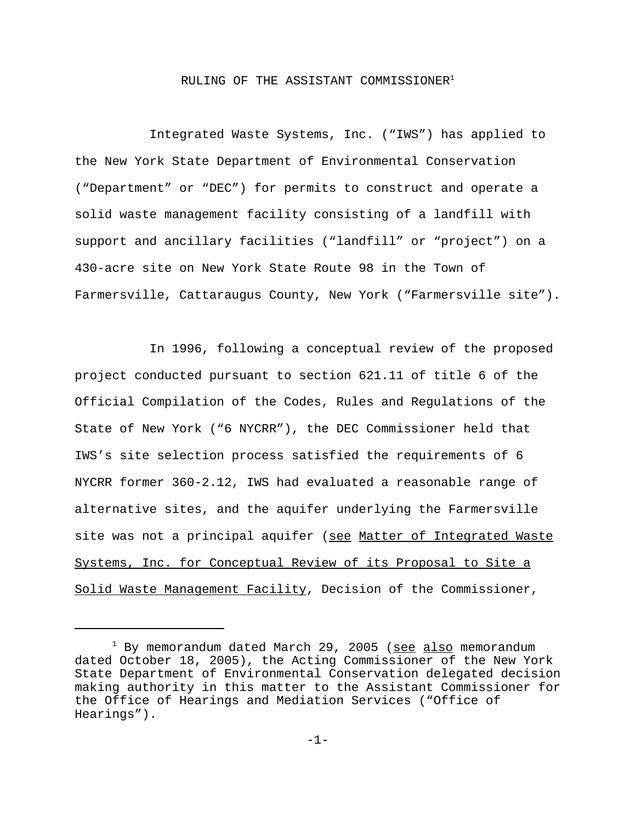## RULING OF THE ASSISTANT COMMISSIONER<sup>1</sup>

Integrated Waste Systems, Inc. ("IWS") has applied to the New York State Department of Environmental Conservation ("Department" or "DEC") for permits to construct and operate a solid waste management facility consisting of a landfill with support and ancillary facilities ("landfill" or "project") on a 430-acre site on New York State Route 98 in the Town of Farmersville, Cattaraugus County, New York ("Farmersville site").

In 1996, following a conceptual review of the proposed project conducted pursuant to section 621.11 of title 6 of the Official Compilation of the Codes, Rules and Regulations of the State of New York ("6 NYCRR"), the DEC Commissioner held that IWS's site selection process satisfied the requirements of 6 NYCRR former 360-2.12, IWS had evaluated a reasonable range of alternative sites, and the aquifer underlying the Farmersville site was not a principal aquifer (see Matter of Integrated Waste Systems, Inc. for Conceptual Review of its Proposal to Site a Solid Waste Management Facility, Decision of the Commissioner,

<sup>&</sup>lt;sup>1</sup> By memorandum dated March 29, 2005 (<u>see also</u> memorandum dated October 18, 2005), the Acting Commissioner of the New York State Department of Environmental Conservation delegated decision making authority in this matter to the Assistant Commissioner for the Office of Hearings and Mediation Services ("Office of Hearings").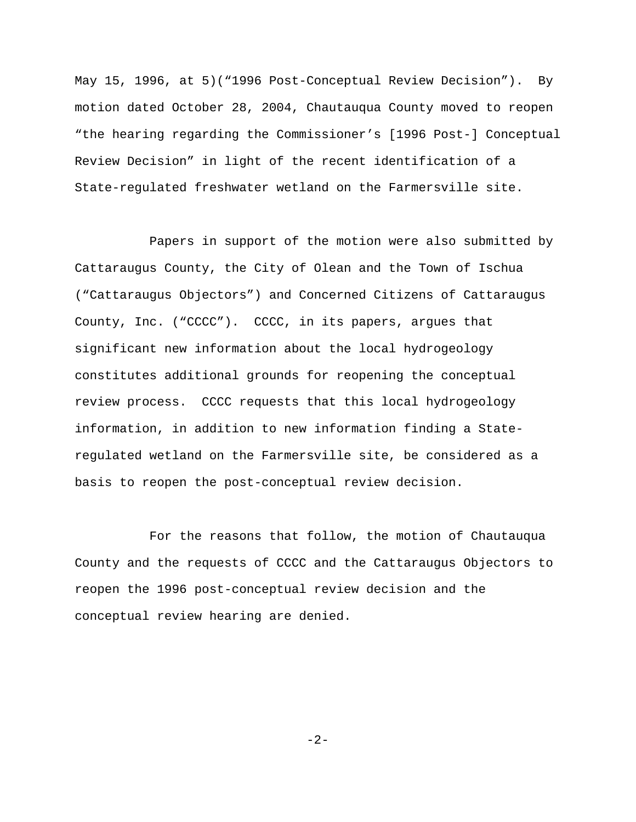May 15, 1996, at 5)("1996 Post-Conceptual Review Decision"). By motion dated October 28, 2004, Chautauqua County moved to reopen "the hearing regarding the Commissioner's [1996 Post-] Conceptual Review Decision" in light of the recent identification of a State-regulated freshwater wetland on the Farmersville site.

Papers in support of the motion were also submitted by Cattaraugus County, the City of Olean and the Town of Ischua ("Cattaraugus Objectors") and Concerned Citizens of Cattaraugus County, Inc. ("CCCC"). CCCC, in its papers, argues that significant new information about the local hydrogeology constitutes additional grounds for reopening the conceptual review process. CCCC requests that this local hydrogeology information, in addition to new information finding a Stateregulated wetland on the Farmersville site, be considered as a basis to reopen the post-conceptual review decision.

For the reasons that follow, the motion of Chautauqua County and the requests of CCCC and the Cattaraugus Objectors to reopen the 1996 post-conceptual review decision and the conceptual review hearing are denied.

-2-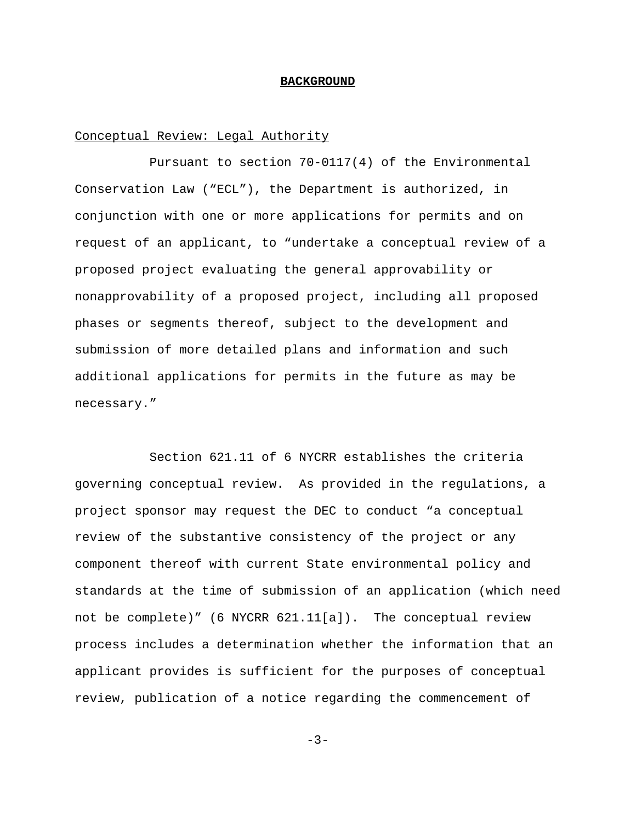#### **BACKGROUND**

## Conceptual Review: Legal Authority

Pursuant to section 70-0117(4) of the Environmental Conservation Law ("ECL"), the Department is authorized, in conjunction with one or more applications for permits and on request of an applicant, to "undertake a conceptual review of a proposed project evaluating the general approvability or nonapprovability of a proposed project, including all proposed phases or segments thereof, subject to the development and submission of more detailed plans and information and such additional applications for permits in the future as may be necessary."

Section 621.11 of 6 NYCRR establishes the criteria governing conceptual review. As provided in the regulations, a project sponsor may request the DEC to conduct "a conceptual review of the substantive consistency of the project or any component thereof with current State environmental policy and standards at the time of submission of an application (which need not be complete)" (6 NYCRR 621.11[a]). The conceptual review process includes a determination whether the information that an applicant provides is sufficient for the purposes of conceptual review, publication of a notice regarding the commencement of

 $-3-$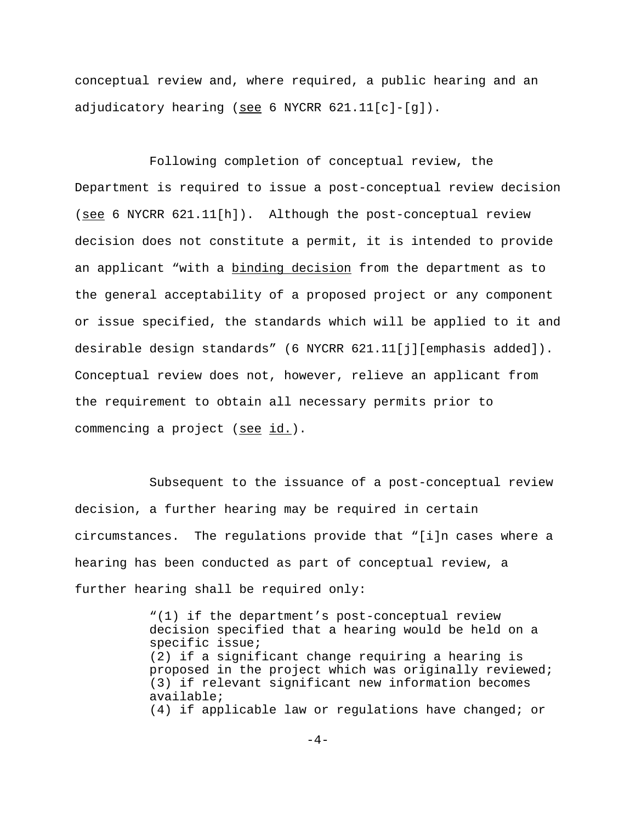conceptual review and, where required, a public hearing and an adjudicatory hearing (see 6 NYCRR  $621.11[c] - [g])$ .

Following completion of conceptual review, the Department is required to issue a post-conceptual review decision (see 6 NYCRR 621.11[h]). Although the post-conceptual review decision does not constitute a permit, it is intended to provide an applicant "with a binding decision from the department as to the general acceptability of a proposed project or any component or issue specified, the standards which will be applied to it and desirable design standards" (6 NYCRR 621.11[j][emphasis added]). Conceptual review does not, however, relieve an applicant from the requirement to obtain all necessary permits prior to commencing a project (see id.).

Subsequent to the issuance of a post-conceptual review decision, a further hearing may be required in certain circumstances. The regulations provide that "[i]n cases where a hearing has been conducted as part of conceptual review, a further hearing shall be required only:

> "(1) if the department's post-conceptual review decision specified that a hearing would be held on a specific issue; (2) if a significant change requiring a hearing is proposed in the project which was originally reviewed; (3) if relevant significant new information becomes available; (4) if applicable law or regulations have changed; or

> > $-4-$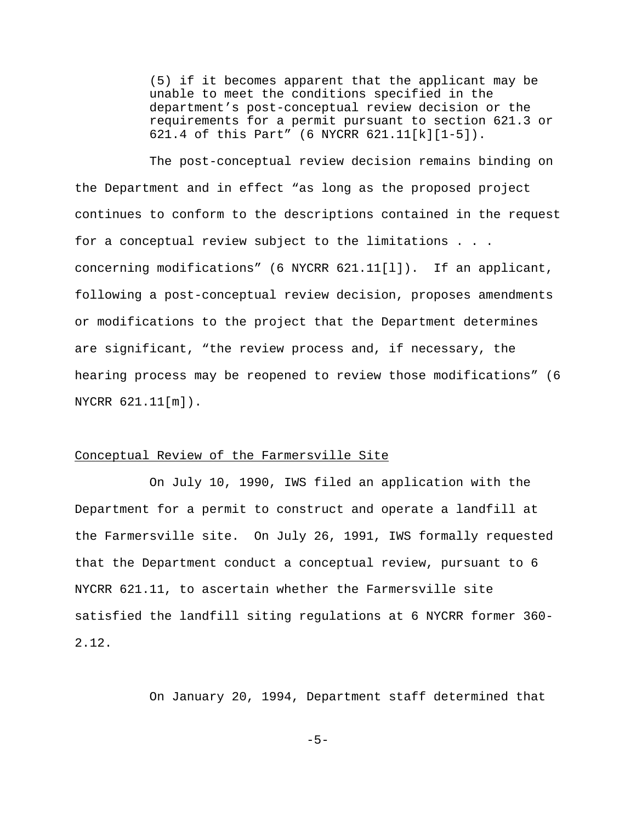(5) if it becomes apparent that the applicant may be unable to meet the conditions specified in the department's post-conceptual review decision or the requirements for a permit pursuant to section 621.3 or 621.4 of this Part" (6 NYCRR 621.11[k][1-5]).

The post-conceptual review decision remains binding on the Department and in effect "as long as the proposed project continues to conform to the descriptions contained in the request for a conceptual review subject to the limitations . . . concerning modifications" (6 NYCRR 621.11[l]). If an applicant, following a post-conceptual review decision, proposes amendments or modifications to the project that the Department determines are significant, "the review process and, if necessary, the hearing process may be reopened to review those modifications" (6 NYCRR 621.11[m]).

## Conceptual Review of the Farmersville Site

On July 10, 1990, IWS filed an application with the Department for a permit to construct and operate a landfill at the Farmersville site. On July 26, 1991, IWS formally requested that the Department conduct a conceptual review, pursuant to 6 NYCRR 621.11, to ascertain whether the Farmersville site satisfied the landfill siting regulations at 6 NYCRR former 360- 2.12.

On January 20, 1994, Department staff determined that

 $-5-$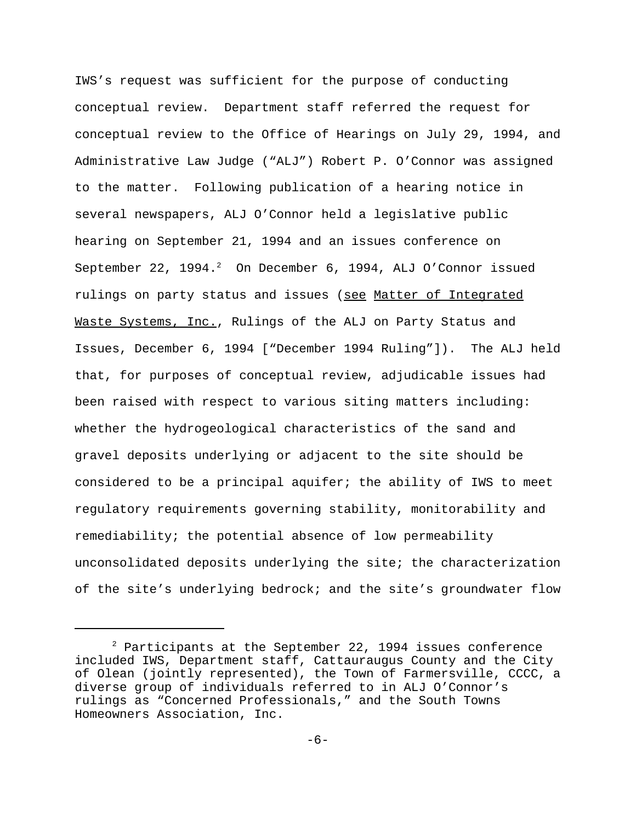IWS's request was sufficient for the purpose of conducting conceptual review. Department staff referred the request for conceptual review to the Office of Hearings on July 29, 1994, and Administrative Law Judge ("ALJ") Robert P. O'Connor was assigned to the matter. Following publication of a hearing notice in several newspapers, ALJ O'Connor held a legislative public hearing on September 21, 1994 and an issues conference on September 22,  $1994.^2$  On December 6, 1994, ALJ O'Connor issued rulings on party status and issues (see Matter of Integrated Waste Systems, Inc., Rulings of the ALJ on Party Status and Issues, December 6, 1994 ["December 1994 Ruling"]). The ALJ held that, for purposes of conceptual review, adjudicable issues had been raised with respect to various siting matters including: whether the hydrogeological characteristics of the sand and gravel deposits underlying or adjacent to the site should be considered to be a principal aquifer; the ability of IWS to meet regulatory requirements governing stability, monitorability and remediability; the potential absence of low permeability unconsolidated deposits underlying the site; the characterization of the site's underlying bedrock; and the site's groundwater flow

 $2$  Participants at the September 22, 1994 issues conference included IWS, Department staff, Cattauraugus County and the City of Olean (jointly represented), the Town of Farmersville, CCCC, a diverse group of individuals referred to in ALJ O'Connor's rulings as "Concerned Professionals," and the South Towns Homeowners Association, Inc.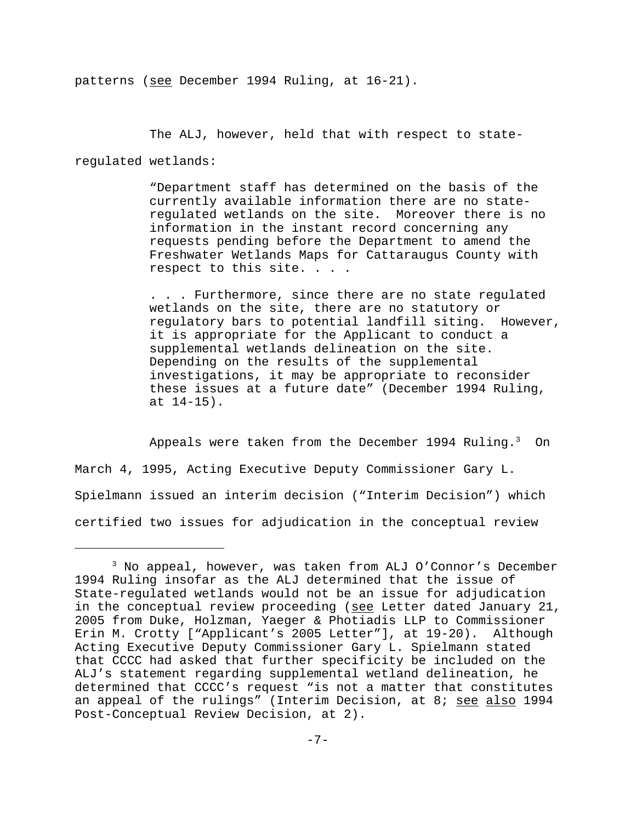patterns (see December 1994 Ruling, at 16-21).

The ALJ, however, held that with respect to state-

regulated wetlands:

"Department staff has determined on the basis of the currently available information there are no stateregulated wetlands on the site. Moreover there is no information in the instant record concerning any requests pending before the Department to amend the Freshwater Wetlands Maps for Cattaraugus County with respect to this site. . . .

. . . Furthermore, since there are no state regulated wetlands on the site, there are no statutory or regulatory bars to potential landfill siting. However, it is appropriate for the Applicant to conduct a supplemental wetlands delineation on the site. Depending on the results of the supplemental investigations, it may be appropriate to reconsider these issues at a future date" (December 1994 Ruling, at 14-15).

Appeals were taken from the December 1994 Ruling. $3$  On March 4, 1995, Acting Executive Deputy Commissioner Gary L. Spielmann issued an interim decision ("Interim Decision") which certified two issues for adjudication in the conceptual review

<sup>3</sup> No appeal, however, was taken from ALJ O'Connor's December 1994 Ruling insofar as the ALJ determined that the issue of State-regulated wetlands would not be an issue for adjudication in the conceptual review proceeding (see Letter dated January 21, 2005 from Duke, Holzman, Yaeger & Photiadis LLP to Commissioner Erin M. Crotty ["Applicant's 2005 Letter"], at 19-20). Although Acting Executive Deputy Commissioner Gary L. Spielmann stated that CCCC had asked that further specificity be included on the ALJ's statement regarding supplemental wetland delineation, he determined that CCCC's request "is not a matter that constitutes an appeal of the rulings" (Interim Decision, at 8; see also 1994 Post-Conceptual Review Decision, at 2).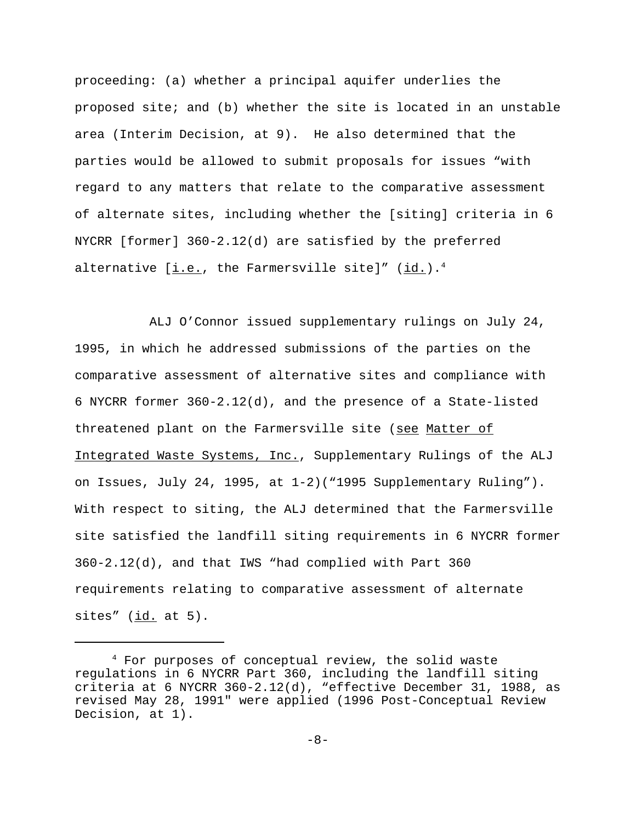proceeding: (a) whether a principal aquifer underlies the proposed site; and (b) whether the site is located in an unstable area (Interim Decision, at 9). He also determined that the parties would be allowed to submit proposals for issues "with regard to any matters that relate to the comparative assessment of alternate sites, including whether the [siting] criteria in 6 NYCRR [former] 360-2.12(d) are satisfied by the preferred alternative  $[i.e.,$  the Farmersville site]"  $(id.)$ .<sup>4</sup>

ALJ O'Connor issued supplementary rulings on July 24, 1995, in which he addressed submissions of the parties on the comparative assessment of alternative sites and compliance with 6 NYCRR former 360-2.12(d), and the presence of a State-listed threatened plant on the Farmersville site (see Matter of Integrated Waste Systems, Inc., Supplementary Rulings of the ALJ on Issues, July 24, 1995, at 1-2)("1995 Supplementary Ruling"). With respect to siting, the ALJ determined that the Farmersville site satisfied the landfill siting requirements in 6 NYCRR former 360-2.12(d), and that IWS "had complied with Part 360 requirements relating to comparative assessment of alternate sites"  $(id. at 5)$ .

<sup>4</sup> For purposes of conceptual review, the solid waste regulations in 6 NYCRR Part 360, including the landfill siting criteria at 6 NYCRR 360-2.12(d), "effective December 31, 1988, as revised May 28, 1991" were applied (1996 Post-Conceptual Review Decision, at 1).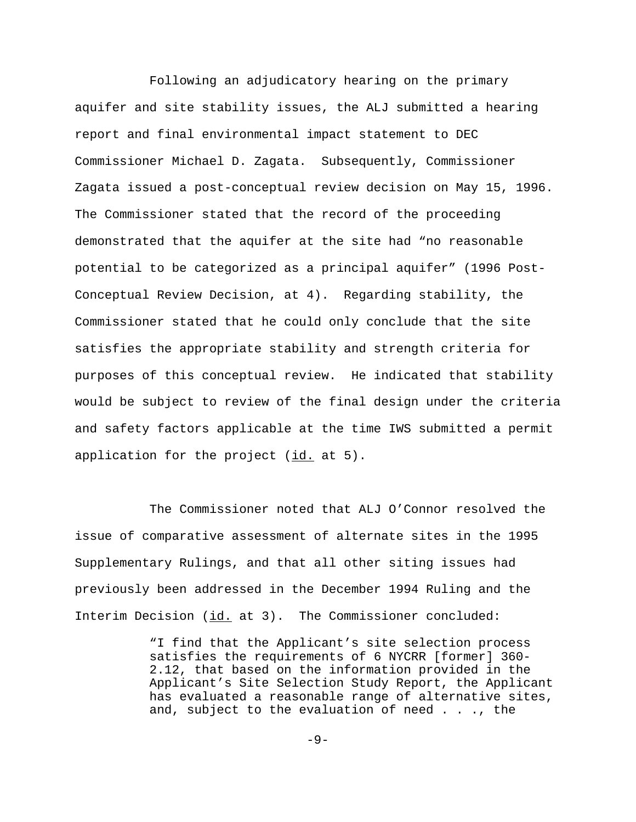Following an adjudicatory hearing on the primary aquifer and site stability issues, the ALJ submitted a hearing report and final environmental impact statement to DEC Commissioner Michael D. Zagata. Subsequently, Commissioner Zagata issued a post-conceptual review decision on May 15, 1996. The Commissioner stated that the record of the proceeding demonstrated that the aquifer at the site had "no reasonable potential to be categorized as a principal aquifer" (1996 Post-Conceptual Review Decision, at 4). Regarding stability, the Commissioner stated that he could only conclude that the site satisfies the appropriate stability and strength criteria for purposes of this conceptual review. He indicated that stability would be subject to review of the final design under the criteria and safety factors applicable at the time IWS submitted a permit application for the project  $(id. at 5)$ .

The Commissioner noted that ALJ O'Connor resolved the issue of comparative assessment of alternate sites in the 1995 Supplementary Rulings, and that all other siting issues had previously been addressed in the December 1994 Ruling and the Interim Decision (id. at 3). The Commissioner concluded:

> "I find that the Applicant's site selection process satisfies the requirements of 6 NYCRR [former] 360- 2.12, that based on the information provided in the Applicant's Site Selection Study Report, the Applicant has evaluated a reasonable range of alternative sites, and, subject to the evaluation of need . . ., the

> > $-9-$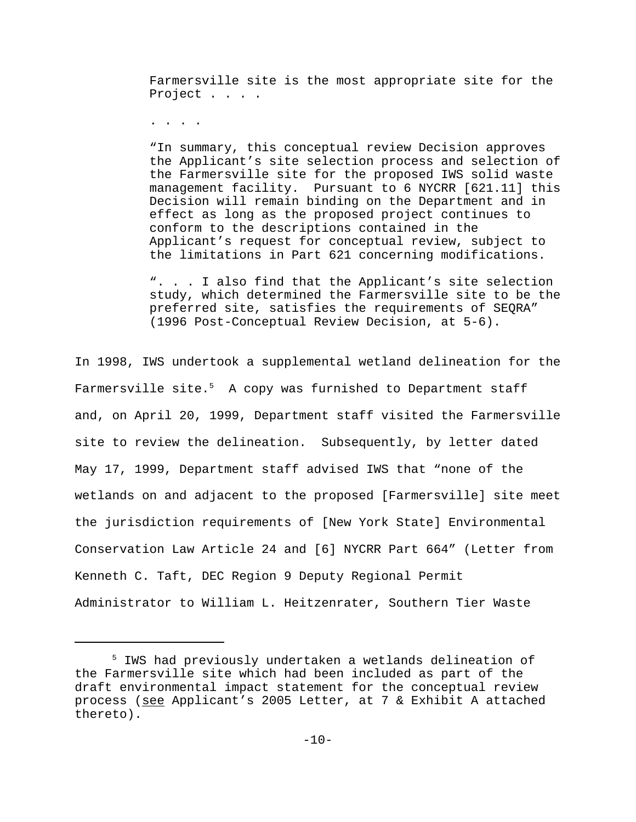Farmersville site is the most appropriate site for the Project . . . .

. . . .

"In summary, this conceptual review Decision approves the Applicant's site selection process and selection of the Farmersville site for the proposed IWS solid waste management facility. Pursuant to 6 NYCRR [621.11] this Decision will remain binding on the Department and in effect as long as the proposed project continues to conform to the descriptions contained in the Applicant's request for conceptual review, subject to the limitations in Part 621 concerning modifications.

". . . I also find that the Applicant's site selection study, which determined the Farmersville site to be the preferred site, satisfies the requirements of SEQRA" (1996 Post-Conceptual Review Decision, at 5-6).

In 1998, IWS undertook a supplemental wetland delineation for the Farmersville site. $5$  A copy was furnished to Department staff and, on April 20, 1999, Department staff visited the Farmersville site to review the delineation. Subsequently, by letter dated May 17, 1999, Department staff advised IWS that "none of the wetlands on and adjacent to the proposed [Farmersville] site meet the jurisdiction requirements of [New York State] Environmental Conservation Law Article 24 and [6] NYCRR Part 664" (Letter from Kenneth C. Taft, DEC Region 9 Deputy Regional Permit Administrator to William L. Heitzenrater, Southern Tier Waste

<sup>5</sup> IWS had previously undertaken a wetlands delineation of the Farmersville site which had been included as part of the draft environmental impact statement for the conceptual review process (see Applicant's 2005 Letter, at 7 & Exhibit A attached thereto).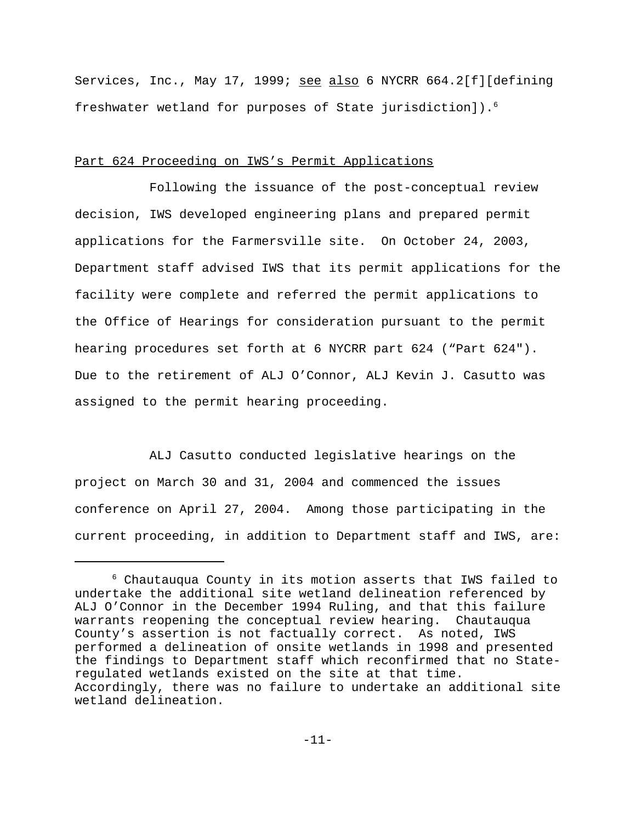Services, Inc., May 17, 1999; see also 6 NYCRR 664.2[f][defining freshwater wetland for purposes of State jurisdiction]).6

# Part 624 Proceeding on IWS's Permit Applications

Following the issuance of the post-conceptual review decision, IWS developed engineering plans and prepared permit applications for the Farmersville site. On October 24, 2003, Department staff advised IWS that its permit applications for the facility were complete and referred the permit applications to the Office of Hearings for consideration pursuant to the permit hearing procedures set forth at 6 NYCRR part 624 ("Part 624"). Due to the retirement of ALJ O'Connor, ALJ Kevin J. Casutto was assigned to the permit hearing proceeding.

ALJ Casutto conducted legislative hearings on the project on March 30 and 31, 2004 and commenced the issues conference on April 27, 2004. Among those participating in the current proceeding, in addition to Department staff and IWS, are:

<sup>6</sup> Chautauqua County in its motion asserts that IWS failed to undertake the additional site wetland delineation referenced by ALJ O'Connor in the December 1994 Ruling, and that this failure warrants reopening the conceptual review hearing. Chautauqua County's assertion is not factually correct. As noted, IWS performed a delineation of onsite wetlands in 1998 and presented the findings to Department staff which reconfirmed that no Stateregulated wetlands existed on the site at that time. Accordingly, there was no failure to undertake an additional site wetland delineation.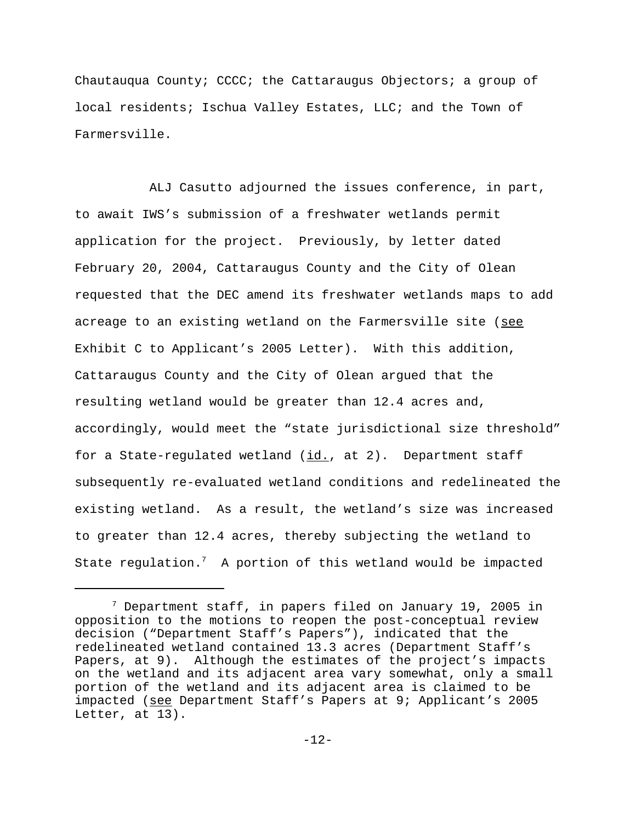Chautauqua County; CCCC; the Cattaraugus Objectors; a group of local residents; Ischua Valley Estates, LLC; and the Town of Farmersville.

ALJ Casutto adjourned the issues conference, in part, to await IWS's submission of a freshwater wetlands permit application for the project. Previously, by letter dated February 20, 2004, Cattaraugus County and the City of Olean requested that the DEC amend its freshwater wetlands maps to add acreage to an existing wetland on the Farmersville site (see Exhibit C to Applicant's 2005 Letter). With this addition, Cattaraugus County and the City of Olean argued that the resulting wetland would be greater than 12.4 acres and, accordingly, would meet the "state jurisdictional size threshold" for a State-regulated wetland  $(id.)$ , at 2). Department staff subsequently re-evaluated wetland conditions and redelineated the existing wetland. As a result, the wetland's size was increased to greater than 12.4 acres, thereby subjecting the wetland to State regulation. $^7$  A portion of this wetland would be impacted

 $7$  Department staff, in papers filed on January 19, 2005 in opposition to the motions to reopen the post-conceptual review decision ("Department Staff's Papers"), indicated that the redelineated wetland contained 13.3 acres (Department Staff's Papers, at 9). Although the estimates of the project's impacts on the wetland and its adjacent area vary somewhat, only a small portion of the wetland and its adjacent area is claimed to be impacted (see Department Staff's Papers at 9; Applicant's 2005 Letter, at 13).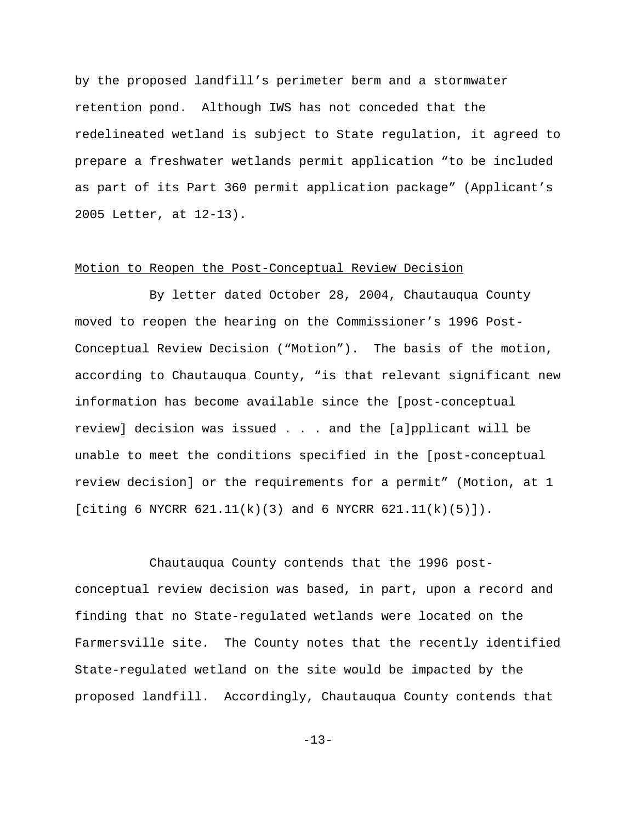by the proposed landfill's perimeter berm and a stormwater retention pond. Although IWS has not conceded that the redelineated wetland is subject to State regulation, it agreed to prepare a freshwater wetlands permit application "to be included as part of its Part 360 permit application package" (Applicant's 2005 Letter, at 12-13).

# Motion to Reopen the Post-Conceptual Review Decision

By letter dated October 28, 2004, Chautauqua County moved to reopen the hearing on the Commissioner's 1996 Post-Conceptual Review Decision ("Motion"). The basis of the motion, according to Chautauqua County, "is that relevant significant new information has become available since the [post-conceptual review] decision was issued . . . and the [a]pplicant will be unable to meet the conditions specified in the [post-conceptual review decision] or the requirements for a permit" (Motion, at 1 [citing 6 NYCRR  $621.11(k)(3)$  and 6 NYCRR  $621.11(k)(5)$ ]).

Chautauqua County contends that the 1996 postconceptual review decision was based, in part, upon a record and finding that no State-regulated wetlands were located on the Farmersville site. The County notes that the recently identified State-regulated wetland on the site would be impacted by the proposed landfill. Accordingly, Chautauqua County contends that

-13-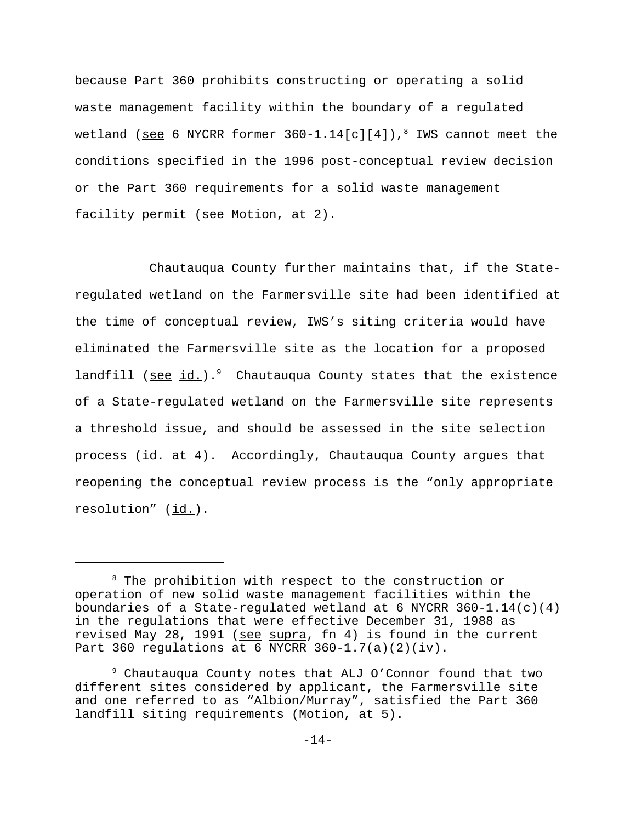because Part 360 prohibits constructing or operating a solid waste management facility within the boundary of a regulated wetland (<u>see</u> 6 NYCRR former 360-1.14[c][4]),<sup>8</sup> IWS cannot meet the conditions specified in the 1996 post-conceptual review decision or the Part 360 requirements for a solid waste management facility permit (see Motion, at 2).

Chautauqua County further maintains that, if the Stateregulated wetland on the Farmersville site had been identified at the time of conceptual review, IWS's siting criteria would have eliminated the Farmersville site as the location for a proposed landfill (see  $id.$ ).<sup>9</sup> Chautauqua County states that the existence of a State-regulated wetland on the Farmersville site represents a threshold issue, and should be assessed in the site selection process (id. at 4). Accordingly, Chautauqua County argues that reopening the conceptual review process is the "only appropriate resolution" (id.).

<sup>8</sup> The prohibition with respect to the construction or operation of new solid waste management facilities within the boundaries of a State-regulated wetland at 6 NYCRR  $360-1.14(c)(4)$ in the regulations that were effective December 31, 1988 as revised May 28, 1991 (see supra, fn 4) is found in the current Part 360 regulations at 6 NYCRR 360-1.7(a)(2)(iv).

<sup>9</sup> Chautauqua County notes that ALJ O'Connor found that two different sites considered by applicant, the Farmersville site and one referred to as "Albion/Murray", satisfied the Part 360 landfill siting requirements (Motion, at 5).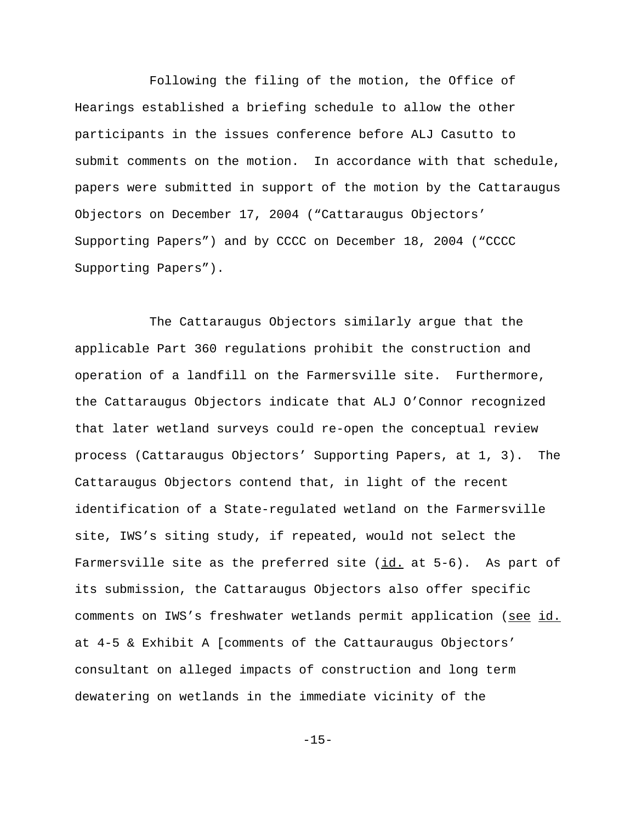Following the filing of the motion, the Office of Hearings established a briefing schedule to allow the other participants in the issues conference before ALJ Casutto to submit comments on the motion. In accordance with that schedule, papers were submitted in support of the motion by the Cattaraugus Objectors on December 17, 2004 ("Cattaraugus Objectors' Supporting Papers") and by CCCC on December 18, 2004 ("CCCC Supporting Papers").

The Cattaraugus Objectors similarly argue that the applicable Part 360 regulations prohibit the construction and operation of a landfill on the Farmersville site. Furthermore, the Cattaraugus Objectors indicate that ALJ O'Connor recognized that later wetland surveys could re-open the conceptual review process (Cattaraugus Objectors' Supporting Papers, at 1, 3). The Cattaraugus Objectors contend that, in light of the recent identification of a State-regulated wetland on the Farmersville site, IWS's siting study, if repeated, would not select the Farmersville site as the preferred site  $(id.$  at  $5-6$ ). As part of its submission, the Cattaraugus Objectors also offer specific comments on IWS's freshwater wetlands permit application (see id. at 4-5 & Exhibit A [comments of the Cattauraugus Objectors' consultant on alleged impacts of construction and long term dewatering on wetlands in the immediate vicinity of the

-15-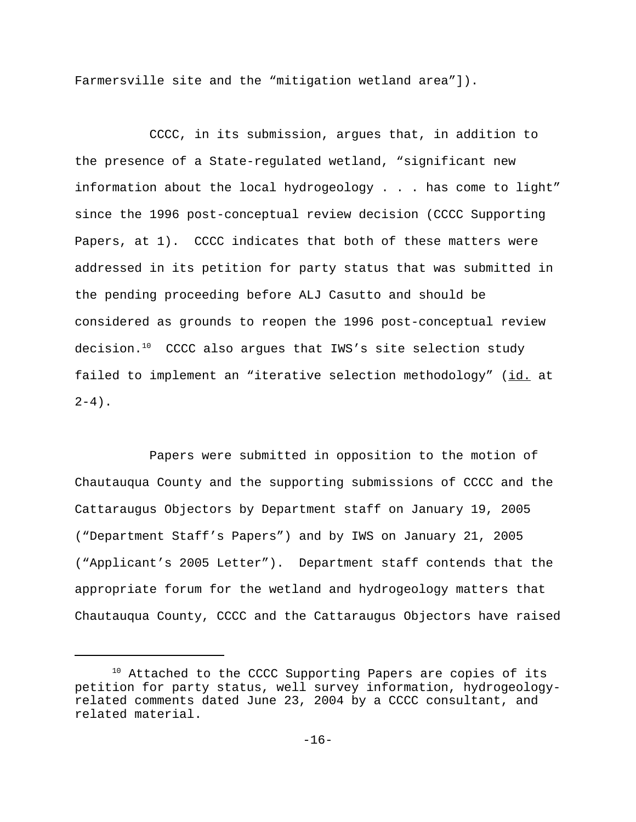Farmersville site and the "mitigation wetland area"]).

CCCC, in its submission, argues that, in addition to the presence of a State-regulated wetland, "significant new information about the local hydrogeology . . . has come to light" since the 1996 post-conceptual review decision (CCCC Supporting Papers, at 1). CCCC indicates that both of these matters were addressed in its petition for party status that was submitted in the pending proceeding before ALJ Casutto and should be considered as grounds to reopen the 1996 post-conceptual review decision.<sup>10</sup> CCCC also argues that IWS's site selection study failed to implement an "iterative selection methodology" (id. at  $2-4$ ).

Papers were submitted in opposition to the motion of Chautauqua County and the supporting submissions of CCCC and the Cattaraugus Objectors by Department staff on January 19, 2005 ("Department Staff's Papers") and by IWS on January 21, 2005 ("Applicant's 2005 Letter"). Department staff contends that the appropriate forum for the wetland and hydrogeology matters that Chautauqua County, CCCC and the Cattaraugus Objectors have raised

<sup>&</sup>lt;sup>10</sup> Attached to the CCCC Supporting Papers are copies of its petition for party status, well survey information, hydrogeologyrelated comments dated June 23, 2004 by a CCCC consultant, and related material.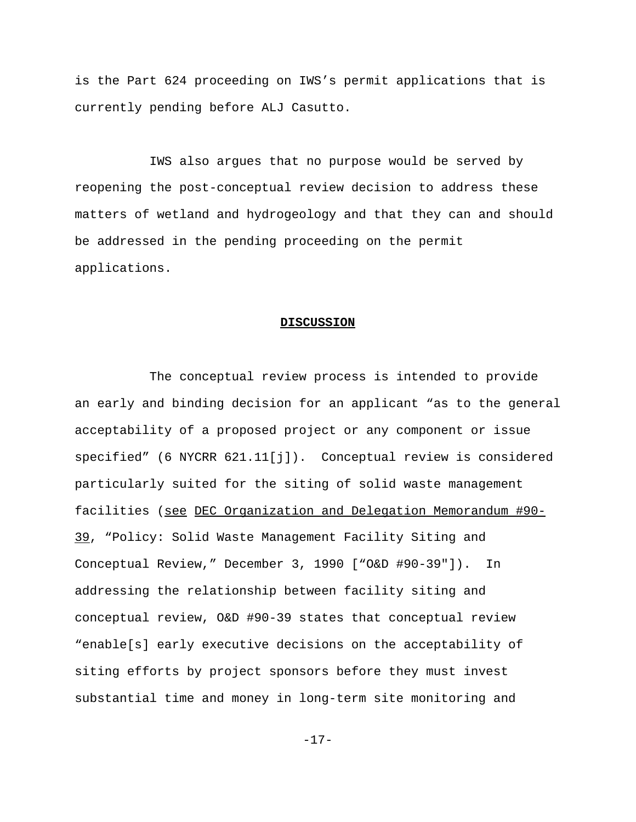is the Part 624 proceeding on IWS's permit applications that is currently pending before ALJ Casutto.

IWS also argues that no purpose would be served by reopening the post-conceptual review decision to address these matters of wetland and hydrogeology and that they can and should be addressed in the pending proceeding on the permit applications.

#### **DISCUSSION**

The conceptual review process is intended to provide an early and binding decision for an applicant "as to the general acceptability of a proposed project or any component or issue specified" (6 NYCRR 621.11[j]). Conceptual review is considered particularly suited for the siting of solid waste management facilities (see DEC Organization and Delegation Memorandum #90- 39, "Policy: Solid Waste Management Facility Siting and Conceptual Review," December 3, 1990 ["O&D #90-39"]). In addressing the relationship between facility siting and conceptual review, O&D #90-39 states that conceptual review "enable[s] early executive decisions on the acceptability of siting efforts by project sponsors before they must invest substantial time and money in long-term site monitoring and

-17-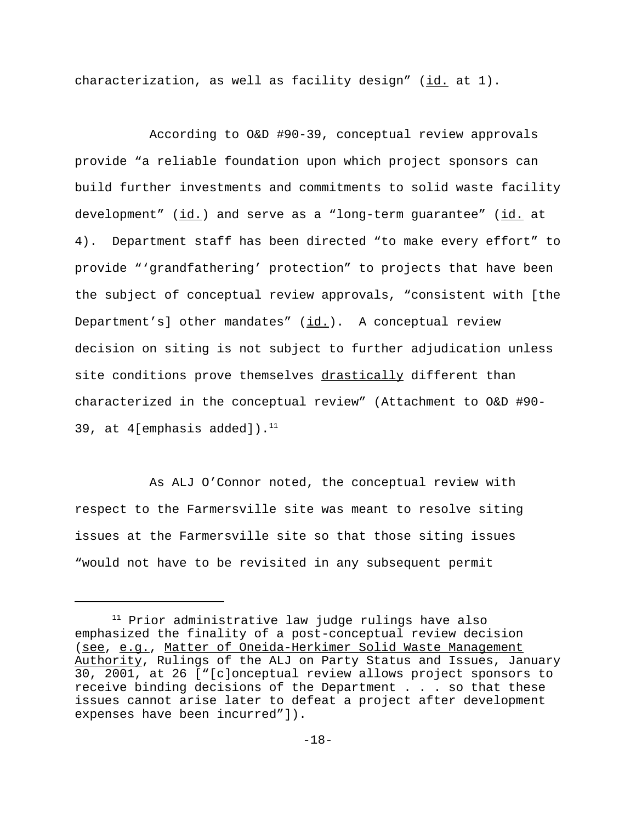characterization, as well as facility design"  $(id.$  at  $1)$ .

According to O&D #90-39, conceptual review approvals provide "a reliable foundation upon which project sponsors can build further investments and commitments to solid waste facility development" (id.) and serve as a "long-term guarantee" (id. at 4). Department staff has been directed "to make every effort" to provide "'grandfathering' protection" to projects that have been the subject of conceptual review approvals, "consistent with [the Department's] other mandates" (id.). A conceptual review decision on siting is not subject to further adjudication unless site conditions prove themselves drastically different than characterized in the conceptual review" (Attachment to O&D #90- 39, at 4[emphasis added]). $<sup>11</sup>$ </sup>

As ALJ O'Connor noted, the conceptual review with respect to the Farmersville site was meant to resolve siting issues at the Farmersville site so that those siting issues "would not have to be revisited in any subsequent permit

<sup>&</sup>lt;sup>11</sup> Prior administrative law judge rulings have also emphasized the finality of a post-conceptual review decision (see, e.g., Matter of Oneida-Herkimer Solid Waste Management Authority, Rulings of the ALJ on Party Status and Issues, January 30, 2001, at 26 ["[c]onceptual review allows project sponsors to receive binding decisions of the Department . . . so that these issues cannot arise later to defeat a project after development expenses have been incurred"]).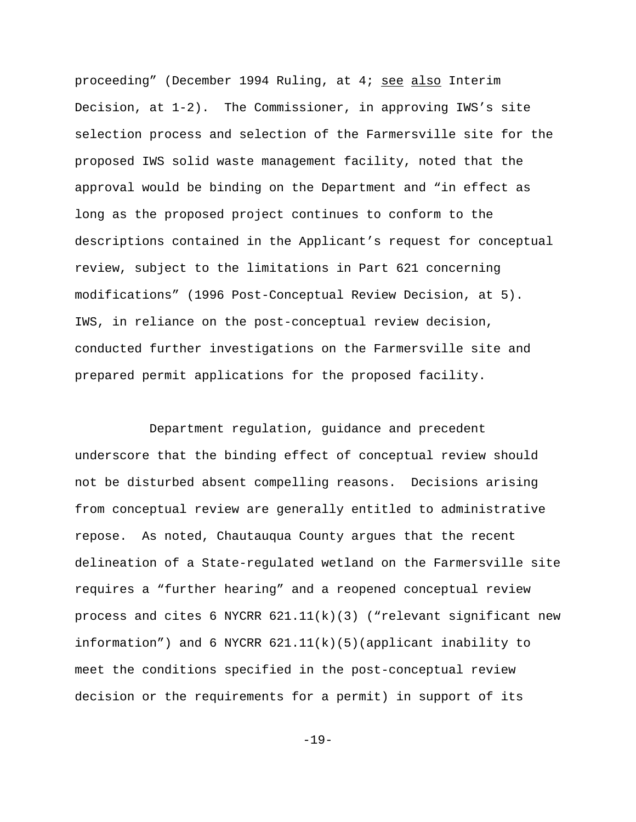proceeding" (December 1994 Ruling, at 4; see also Interim Decision, at 1-2). The Commissioner, in approving IWS's site selection process and selection of the Farmersville site for the proposed IWS solid waste management facility, noted that the approval would be binding on the Department and "in effect as long as the proposed project continues to conform to the descriptions contained in the Applicant's request for conceptual review, subject to the limitations in Part 621 concerning modifications" (1996 Post-Conceptual Review Decision, at 5). IWS, in reliance on the post-conceptual review decision, conducted further investigations on the Farmersville site and prepared permit applications for the proposed facility.

Department regulation, guidance and precedent underscore that the binding effect of conceptual review should not be disturbed absent compelling reasons. Decisions arising from conceptual review are generally entitled to administrative repose. As noted, Chautauqua County argues that the recent delineation of a State-regulated wetland on the Farmersville site requires a "further hearing" and a reopened conceptual review process and cites 6 NYCRR  $621.11(k)(3)$  ("relevant significant new information") and 6 NYCRR  $621.11(k)(5)(applicant inability to$ meet the conditions specified in the post-conceptual review decision or the requirements for a permit) in support of its

-19-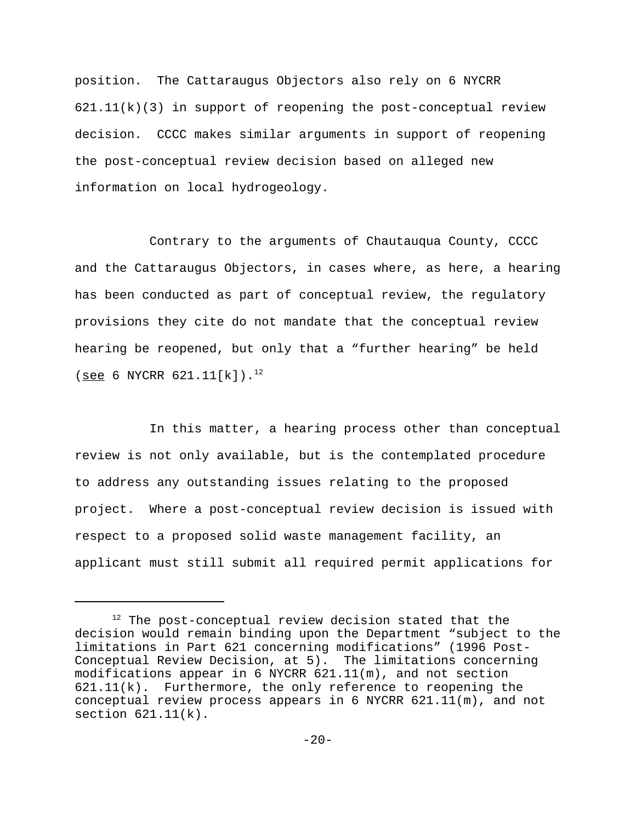position. The Cattaraugus Objectors also rely on 6 NYCRR  $621.11(k)(3)$  in support of reopening the post-conceptual review decision. CCCC makes similar arguments in support of reopening the post-conceptual review decision based on alleged new information on local hydrogeology.

Contrary to the arguments of Chautauqua County, CCCC and the Cattaraugus Objectors, in cases where, as here, a hearing has been conducted as part of conceptual review, the regulatory provisions they cite do not mandate that the conceptual review hearing be reopened, but only that a "further hearing" be held (see 6 NYCRR  $621.11[k]$ ).<sup>12</sup>

In this matter, a hearing process other than conceptual review is not only available, but is the contemplated procedure to address any outstanding issues relating to the proposed project. Where a post-conceptual review decision is issued with respect to a proposed solid waste management facility, an applicant must still submit all required permit applications for

 $12$  The post-conceptual review decision stated that the decision would remain binding upon the Department "subject to the limitations in Part 621 concerning modifications" (1996 Post-Conceptual Review Decision, at 5). The limitations concerning modifications appear in 6 NYCRR 621.11(m), and not section 621.11(k). Furthermore, the only reference to reopening the conceptual review process appears in 6 NYCRR 621.11(m), and not section 621.11(k).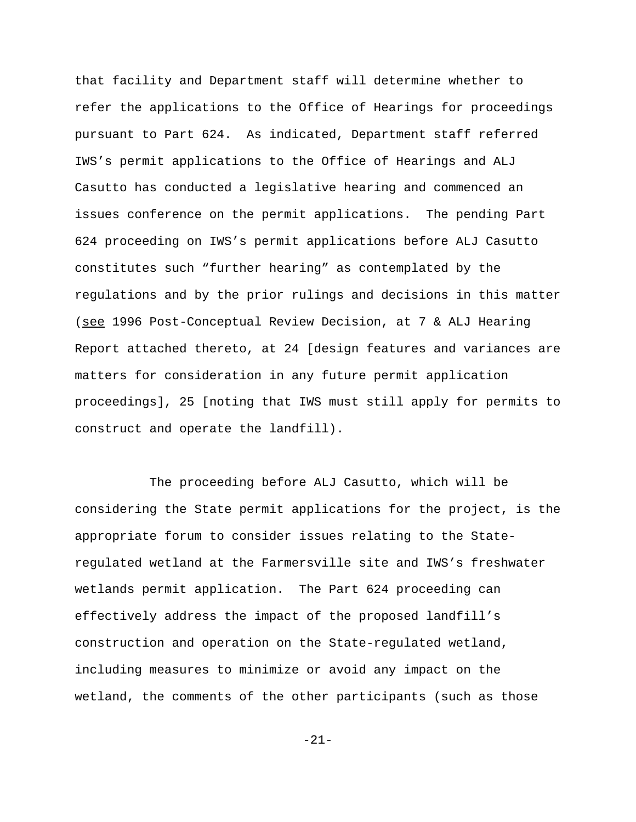that facility and Department staff will determine whether to refer the applications to the Office of Hearings for proceedings pursuant to Part 624. As indicated, Department staff referred IWS's permit applications to the Office of Hearings and ALJ Casutto has conducted a legislative hearing and commenced an issues conference on the permit applications. The pending Part 624 proceeding on IWS's permit applications before ALJ Casutto constitutes such "further hearing" as contemplated by the regulations and by the prior rulings and decisions in this matter (see 1996 Post-Conceptual Review Decision, at 7 & ALJ Hearing Report attached thereto, at 24 [design features and variances are matters for consideration in any future permit application proceedings], 25 [noting that IWS must still apply for permits to construct and operate the landfill).

The proceeding before ALJ Casutto, which will be considering the State permit applications for the project, is the appropriate forum to consider issues relating to the Stateregulated wetland at the Farmersville site and IWS's freshwater wetlands permit application. The Part 624 proceeding can effectively address the impact of the proposed landfill's construction and operation on the State-regulated wetland, including measures to minimize or avoid any impact on the wetland, the comments of the other participants (such as those

-21-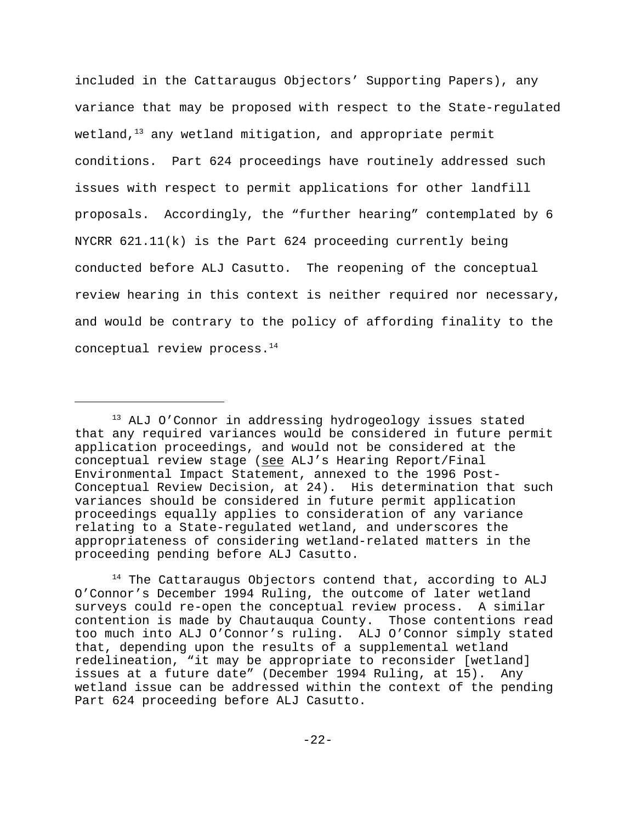included in the Cattaraugus Objectors' Supporting Papers), any variance that may be proposed with respect to the State-regulated wetland, $13$  any wetland mitigation, and appropriate permit conditions. Part 624 proceedings have routinely addressed such issues with respect to permit applications for other landfill proposals. Accordingly, the "further hearing" contemplated by 6 NYCRR 621.11(k) is the Part 624 proceeding currently being conducted before ALJ Casutto. The reopening of the conceptual review hearing in this context is neither required nor necessary, and would be contrary to the policy of affording finality to the conceptual review process.<sup>14</sup>

 $14$  The Cattaraugus Objectors contend that, according to ALJ O'Connor's December 1994 Ruling, the outcome of later wetland surveys could re-open the conceptual review process. A similar contention is made by Chautauqua County. Those contentions read too much into ALJ O'Connor's ruling. ALJ O'Connor simply stated that, depending upon the results of a supplemental wetland redelineation, "it may be appropriate to reconsider [wetland] issues at a future date" (December 1994 Ruling, at 15). Any wetland issue can be addressed within the context of the pending Part 624 proceeding before ALJ Casutto.

<sup>&</sup>lt;sup>13</sup> ALJ O'Connor in addressing hydrogeology issues stated that any required variances would be considered in future permit application proceedings, and would not be considered at the conceptual review stage (see ALJ's Hearing Report/Final Environmental Impact Statement, annexed to the 1996 Post-Conceptual Review Decision, at 24). His determination that such variances should be considered in future permit application proceedings equally applies to consideration of any variance relating to a State-regulated wetland, and underscores the appropriateness of considering wetland-related matters in the proceeding pending before ALJ Casutto.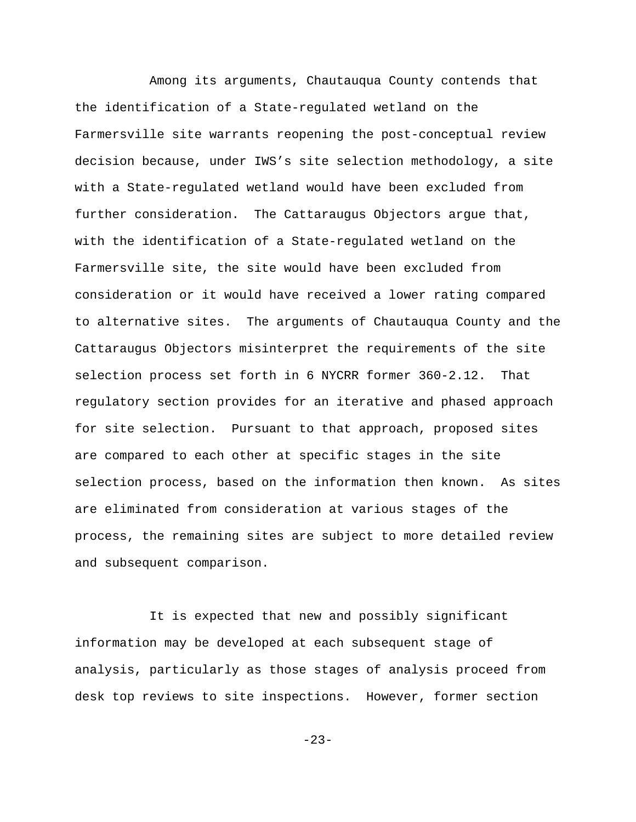Among its arguments, Chautauqua County contends that the identification of a State-regulated wetland on the Farmersville site warrants reopening the post-conceptual review decision because, under IWS's site selection methodology, a site with a State-regulated wetland would have been excluded from further consideration. The Cattaraugus Objectors argue that, with the identification of a State-regulated wetland on the Farmersville site, the site would have been excluded from consideration or it would have received a lower rating compared to alternative sites. The arguments of Chautauqua County and the Cattaraugus Objectors misinterpret the requirements of the site selection process set forth in 6 NYCRR former 360-2.12. That regulatory section provides for an iterative and phased approach for site selection. Pursuant to that approach, proposed sites are compared to each other at specific stages in the site selection process, based on the information then known. As sites are eliminated from consideration at various stages of the process, the remaining sites are subject to more detailed review and subsequent comparison.

It is expected that new and possibly significant information may be developed at each subsequent stage of analysis, particularly as those stages of analysis proceed from desk top reviews to site inspections. However, former section

-23-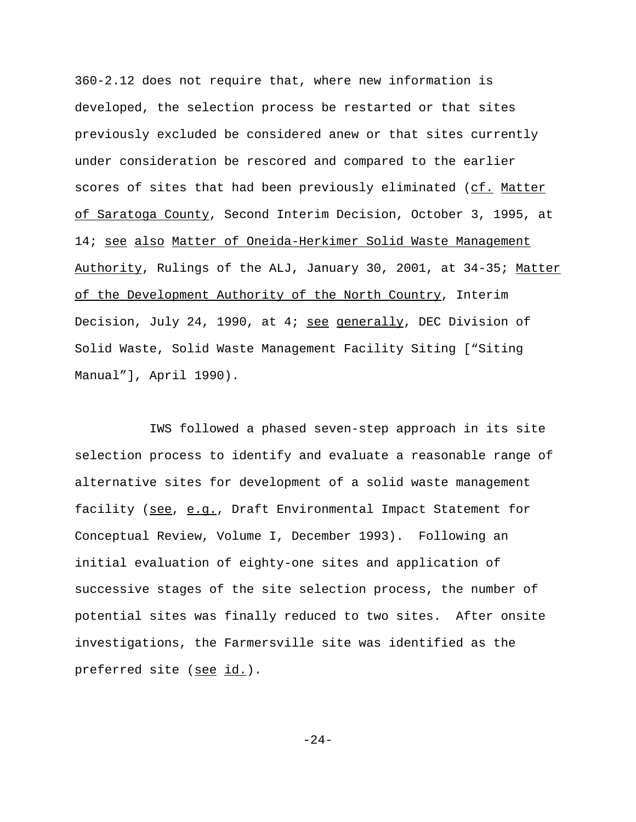360-2.12 does not require that, where new information is developed, the selection process be restarted or that sites previously excluded be considered anew or that sites currently under consideration be rescored and compared to the earlier scores of sites that had been previously eliminated (cf. Matter of Saratoga County, Second Interim Decision, October 3, 1995, at 14; see also Matter of Oneida-Herkimer Solid Waste Management Authority, Rulings of the ALJ, January 30, 2001, at 34-35; Matter of the Development Authority of the North Country, Interim Decision, July 24, 1990, at 4; see generally, DEC Division of Solid Waste, Solid Waste Management Facility Siting ["Siting Manual"], April 1990).

IWS followed a phased seven-step approach in its site selection process to identify and evaluate a reasonable range of alternative sites for development of a solid waste management facility (see, e.g., Draft Environmental Impact Statement for Conceptual Review, Volume I, December 1993). Following an initial evaluation of eighty-one sites and application of successive stages of the site selection process, the number of potential sites was finally reduced to two sites. After onsite investigations, the Farmersville site was identified as the preferred site (see id.).

-24-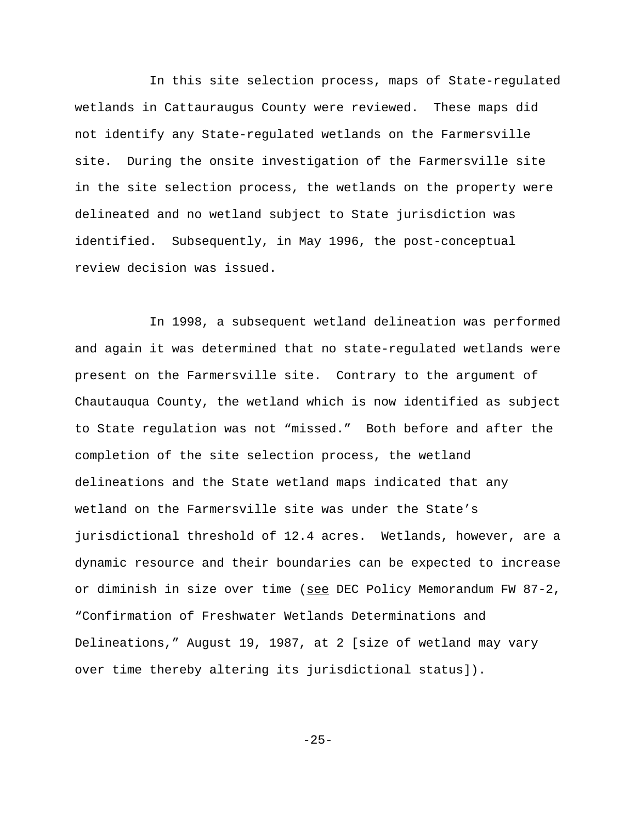In this site selection process, maps of State-regulated wetlands in Cattauraugus County were reviewed. These maps did not identify any State-regulated wetlands on the Farmersville site. During the onsite investigation of the Farmersville site in the site selection process, the wetlands on the property were delineated and no wetland subject to State jurisdiction was identified. Subsequently, in May 1996, the post-conceptual review decision was issued.

In 1998, a subsequent wetland delineation was performed and again it was determined that no state-regulated wetlands were present on the Farmersville site. Contrary to the argument of Chautauqua County, the wetland which is now identified as subject to State regulation was not "missed." Both before and after the completion of the site selection process, the wetland delineations and the State wetland maps indicated that any wetland on the Farmersville site was under the State's jurisdictional threshold of 12.4 acres. Wetlands, however, are a dynamic resource and their boundaries can be expected to increase or diminish in size over time (see DEC Policy Memorandum FW 87-2, "Confirmation of Freshwater Wetlands Determinations and Delineations," August 19, 1987, at 2 [size of wetland may vary over time thereby altering its jurisdictional status]).

-25-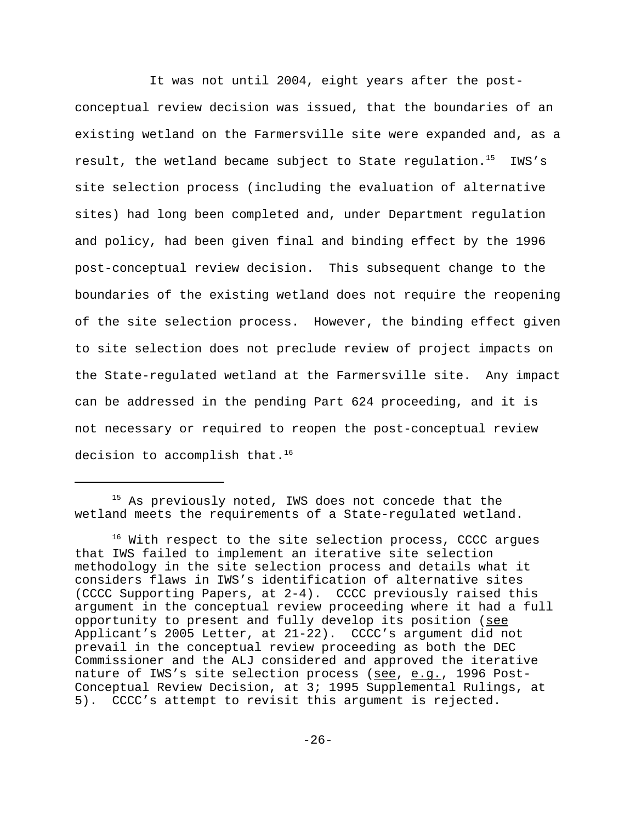It was not until 2004, eight years after the postconceptual review decision was issued, that the boundaries of an existing wetland on the Farmersville site were expanded and, as a result, the wetland became subject to State regulation.<sup>15</sup> IWS's site selection process (including the evaluation of alternative sites) had long been completed and, under Department regulation and policy, had been given final and binding effect by the 1996 post-conceptual review decision. This subsequent change to the boundaries of the existing wetland does not require the reopening of the site selection process. However, the binding effect given to site selection does not preclude review of project impacts on the State-regulated wetland at the Farmersville site. Any impact can be addressed in the pending Part 624 proceeding, and it is not necessary or required to reopen the post-conceptual review decision to accomplish that. $16$ 

<sup>&</sup>lt;sup>15</sup> As previously noted, IWS does not concede that the wetland meets the requirements of a State-regulated wetland.

<sup>&</sup>lt;sup>16</sup> With respect to the site selection process, CCCC argues that IWS failed to implement an iterative site selection methodology in the site selection process and details what it considers flaws in IWS's identification of alternative sites (CCCC Supporting Papers, at 2-4). CCCC previously raised this argument in the conceptual review proceeding where it had a full opportunity to present and fully develop its position (see Applicant's 2005 Letter, at 21-22). CCCC's argument did not prevail in the conceptual review proceeding as both the DEC Commissioner and the ALJ considered and approved the iterative nature of IWS's site selection process (see, e.g., 1996 Post-Conceptual Review Decision, at 3; 1995 Supplemental Rulings, at 5). CCCC's attempt to revisit this argument is rejected.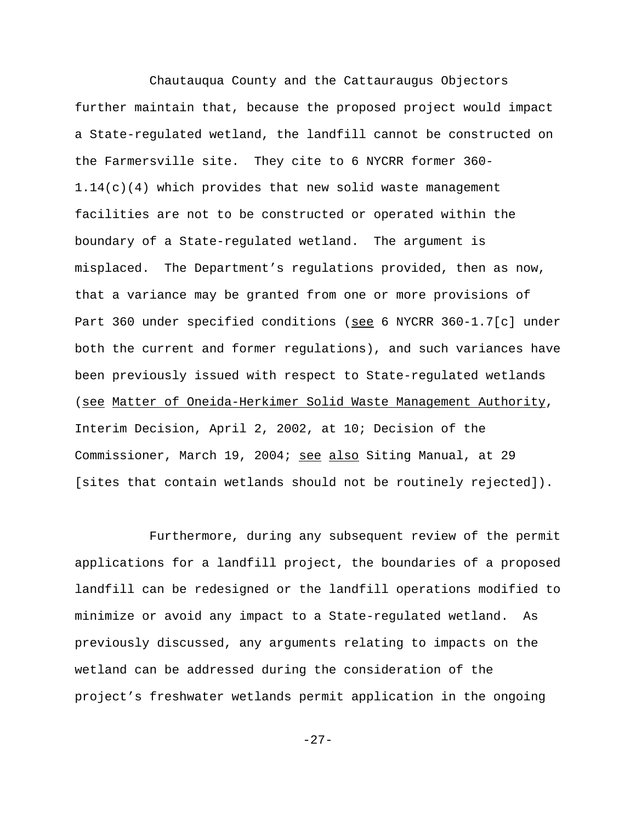Chautauqua County and the Cattauraugus Objectors further maintain that, because the proposed project would impact a State-regulated wetland, the landfill cannot be constructed on the Farmersville site. They cite to 6 NYCRR former 360- 1.14(c)(4) which provides that new solid waste management facilities are not to be constructed or operated within the boundary of a State-regulated wetland. The argument is misplaced. The Department's regulations provided, then as now, that a variance may be granted from one or more provisions of Part 360 under specified conditions (see 6 NYCRR 360-1.7[c] under both the current and former regulations), and such variances have been previously issued with respect to State-regulated wetlands (see Matter of Oneida-Herkimer Solid Waste Management Authority, Interim Decision, April 2, 2002, at 10; Decision of the Commissioner, March 19, 2004; see also Siting Manual, at 29 [sites that contain wetlands should not be routinely rejected]).

Furthermore, during any subsequent review of the permit applications for a landfill project, the boundaries of a proposed landfill can be redesigned or the landfill operations modified to minimize or avoid any impact to a State-regulated wetland. As previously discussed, any arguments relating to impacts on the wetland can be addressed during the consideration of the project's freshwater wetlands permit application in the ongoing

-27-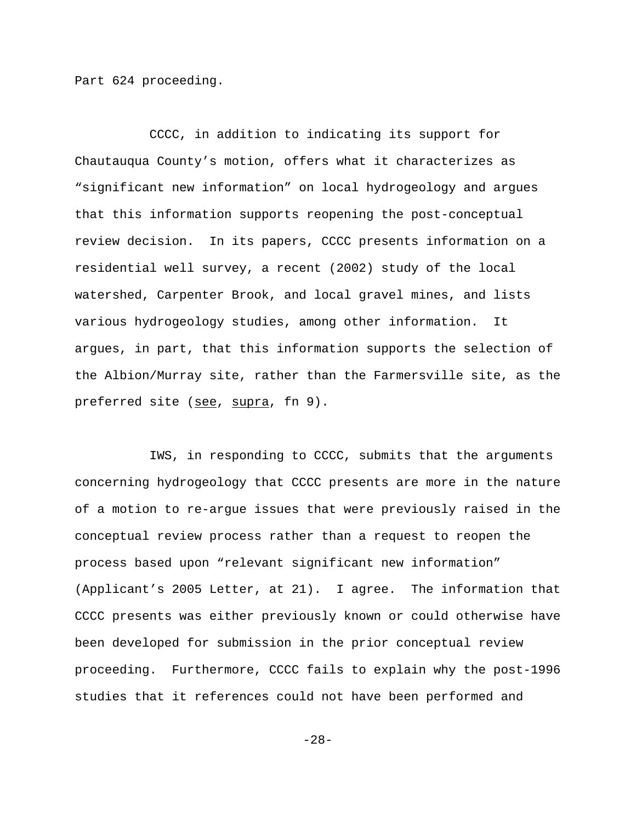Part 624 proceeding.

CCCC, in addition to indicating its support for Chautauqua County's motion, offers what it characterizes as "significant new information" on local hydrogeology and argues that this information supports reopening the post-conceptual review decision. In its papers, CCCC presents information on a residential well survey, a recent (2002) study of the local watershed, Carpenter Brook, and local gravel mines, and lists various hydrogeology studies, among other information. It argues, in part, that this information supports the selection of the Albion/Murray site, rather than the Farmersville site, as the preferred site (see, supra, fn 9).

IWS, in responding to CCCC, submits that the arguments concerning hydrogeology that CCCC presents are more in the nature of a motion to re-argue issues that were previously raised in the conceptual review process rather than a request to reopen the process based upon "relevant significant new information" (Applicant's 2005 Letter, at 21). I agree. The information that CCCC presents was either previously known or could otherwise have been developed for submission in the prior conceptual review proceeding. Furthermore, CCCC fails to explain why the post-1996 studies that it references could not have been performed and

-28-